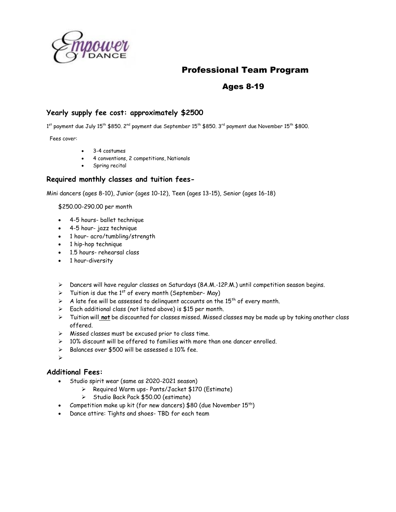

## Professional Team Program

## Ages 8-19

#### **Yearly supply fee cost: approximately \$2500**

1<sup>st</sup> payment due July 15<sup>th</sup> \$850. 2<sup>nd</sup> payment due September 15<sup>th</sup> \$850. 3<sup>rd</sup> payment due November 15<sup>th</sup> \$800.

Fees cover:

- 3-4 costumes
- 4 conventions, 2 competitions, Nationals
- Spring recital

#### **Required monthly classes and tuition fees-**

Mini dancers (ages 8-10), Junior (ages 10-12), Teen (ages 13-15), Senior (ages 16-18)

\$250.00-290.00 per month

- 4-5 hours- ballet technique
- 4-5 hour- jazz technique
- 1 hour- acro/tumbling/strength
- 1 hip-hop technique
- 1.5 hours- rehearsal class
- 1 hour-diversity
- ➢ Dancers will have regular classes on Saturdays (8A.M.-12P.M.) until competition season begins.
- $\triangleright$  Tuition is due the 1<sup>st</sup> of every month (September-May)
- $\triangleright$  A late fee will be assessed to delinguent accounts on the 15<sup>th</sup> of every month.
- ➢ Each additional class (not listed above) is \$15 per month.
- ➢ Tuition will **not** be discounted for classes missed. Missed classes may be made up by taking another class offered.
- ➢ Missed classes must be excused prior to class time.
- $>$  10% discount will be offered to families with more than one dancer enrolled.
- ➢ Balances over \$500 will be assessed a 10% fee.
- ➢

#### **Additional Fees:**

- Studio spirit wear (same as 2020-2021 season)
	- ➢ Required Warm ups- Pants/Jacket \$170 (Estimate)
	- ➢ Studio Back Pack \$50.00 (estimate)
- Competition make up kit (for new dancers) \$80 (due November  $15^{th}$ )
- Dance attire: Tights and shoes- TBD for each team